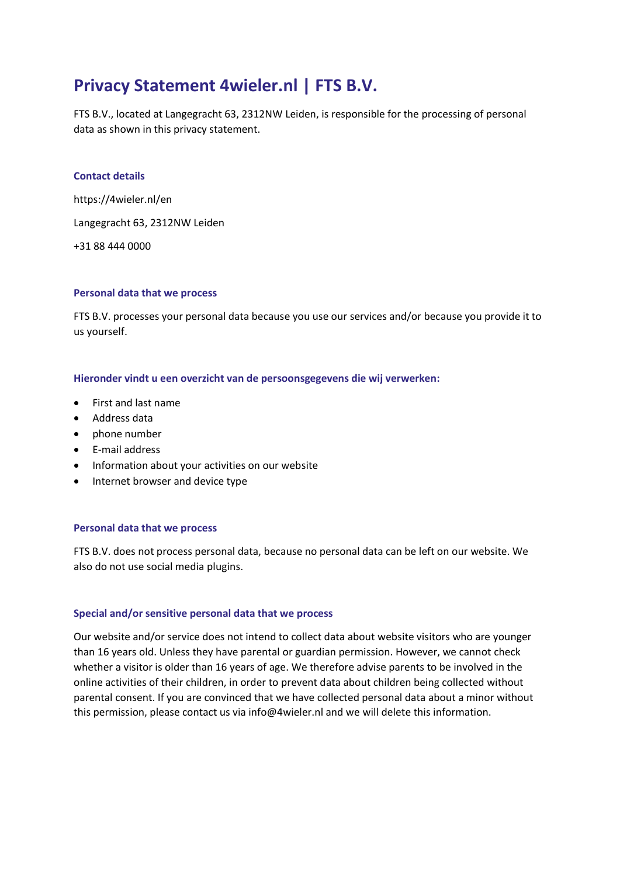# **Privacy Statement 4wieler.nl | FTS B.V.**

FTS B.V., located at Langegracht 63, 2312NW Leiden, is responsible for the processing of personal data as shown in this privacy statement.

# **Contact details**

https://4wieler.nl/en Langegracht 63, 2312NW Leiden +31 88 444 0000

# **Personal data that we process**

FTS B.V. processes your personal data because you use our services and/or because you provide it to us yourself.

#### **Hieronder vindt u een overzicht van de persoonsgegevens die wij verwerken:**

- First and last name
- Address data
- phone number
- E-mail address
- Information about your activities on our website
- Internet browser and device type

#### **Personal data that we process**

FTS B.V. does not process personal data, because no personal data can be left on our website. We also do not use social media plugins.

#### **Special and/or sensitive personal data that we process**

Our website and/or service does not intend to collect data about website visitors who are younger than 16 years old. Unless they have parental or guardian permission. However, we cannot check whether a visitor is older than 16 years of age. We therefore advise parents to be involved in the online activities of their children, in order to prevent data about children being collected without parental consent. If you are convinced that we have collected personal data about a minor without this permission, please contact us via info@4wieler.nl and we will delete this information.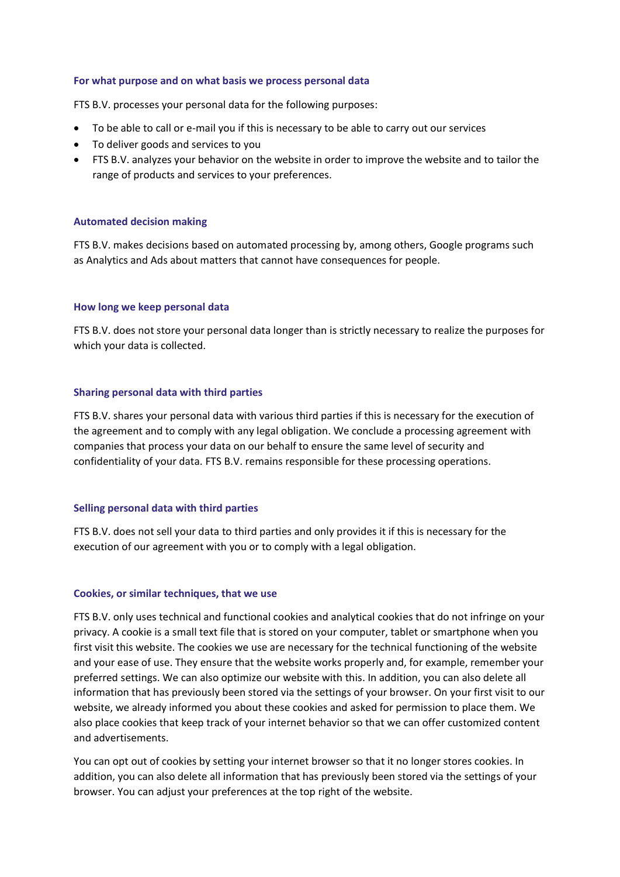#### **For what purpose and on what basis we process personal data**

FTS B.V. processes your personal data for the following purposes:

- To be able to call or e-mail you if this is necessary to be able to carry out our services
- To deliver goods and services to you
- FTS B.V. analyzes your behavior on the website in order to improve the website and to tailor the range of products and services to your preferences.

# **Automated decision making**

FTS B.V. makes decisions based on automated processing by, among others, Google programs such as Analytics and Ads about matters that cannot have consequences for people.

# **How long we keep personal data**

FTS B.V. does not store your personal data longer than is strictly necessary to realize the purposes for which your data is collected.

# **Sharing personal data with third parties**

FTS B.V. shares your personal data with various third parties if this is necessary for the execution of the agreement and to comply with any legal obligation. We conclude a processing agreement with companies that process your data on our behalf to ensure the same level of security and confidentiality of your data. FTS B.V. remains responsible for these processing operations.

# **Selling personal data with third parties**

FTS B.V. does not sell your data to third parties and only provides it if this is necessary for the execution of our agreement with you or to comply with a legal obligation.

# **Cookies, or similar techniques, that we use**

FTS B.V. only uses technical and functional cookies and analytical cookies that do not infringe on your privacy. A cookie is a small text file that is stored on your computer, tablet or smartphone when you first visit this website. The cookies we use are necessary for the technical functioning of the website and your ease of use. They ensure that the website works properly and, for example, remember your preferred settings. We can also optimize our website with this. In addition, you can also delete all information that has previously been stored via the settings of your browser. On your first visit to our website, we already informed you about these cookies and asked for permission to place them. We also place cookies that keep track of your internet behavior so that we can offer customized content and advertisements.

You can opt out of cookies by setting your internet browser so that it no longer stores cookies. In addition, you can also delete all information that has previously been stored via the settings of your browser. You can adjust your preferences at the top right of the website.